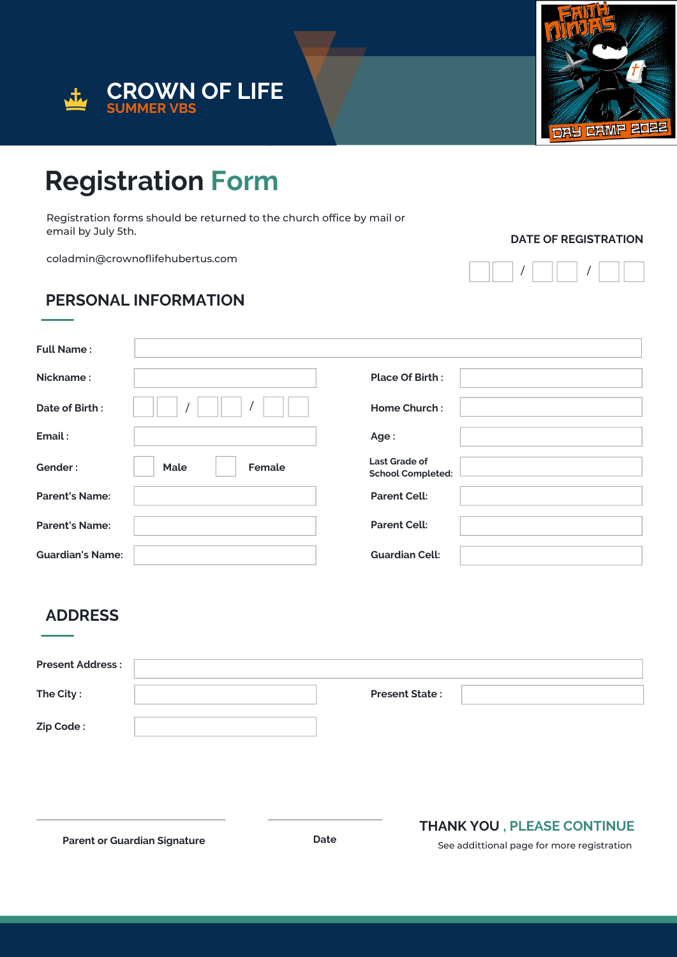



## **Registration Form**

Registration forms should be returned to the church office by mail or email by July 5th.

coladmin@crownoflifehubertus.com

### **PERSONAL INFORMATION**

**DATE OF REGISTRATION**

| <b>Full Name:</b>       |                |                                                  |  |
|-------------------------|----------------|--------------------------------------------------|--|
| Nickname:               |                | <b>Place Of Birth:</b>                           |  |
| Date of Birth:          |                | <b>Home Church:</b>                              |  |
| Email:                  |                | Age:                                             |  |
| Gender:                 | Female<br>Male | <b>Last Grade of</b><br><b>School Completed:</b> |  |
| <b>Parent's Name:</b>   |                | <b>Parent Cell:</b>                              |  |
| <b>Parent's Name:</b>   |                | <b>Parent Cell:</b>                              |  |
| <b>Guardian's Name:</b> |                | <b>Guardian Cell:</b>                            |  |

### **ADDRESS**

| <b>Present Address:</b> |                       |  |
|-------------------------|-----------------------|--|
| The City:               | <b>Present State:</b> |  |
| Zip Code:               |                       |  |

**Parent or Guardian Signature Date**

#### **THANK YOU , PLEASE CONTINUE**

See addittional page for more registration